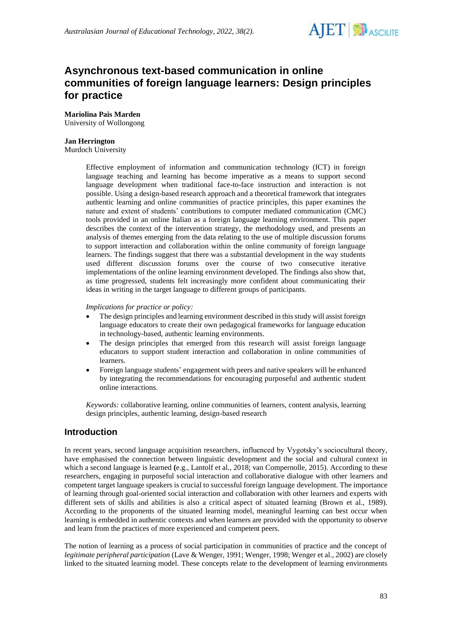

# **Asynchronous text-based communication in online communities of foreign language learners: Design principles for practice**

### **Mariolina Pais Marden**

University of Wollongong

#### **Jan Herrington**

Murdoch University

Effective employment of information and communication technology (ICT) in foreign language teaching and learning has become imperative as a means to support second language development when traditional face-to-face instruction and interaction is not possible. Using a design-based research approach and a theoretical framework that integrates authentic learning and online communities of practice principles, this paper examines the nature and extent of students' contributions to computer mediated communication (CMC) tools provided in an online Italian as a foreign language learning environment. This paper describes the context of the intervention strategy, the methodology used, and presents an analysis of themes emerging from the data relating to the use of multiple discussion forums to support interaction and collaboration within the online community of foreign language learners. The findings suggest that there was a substantial development in the way students used different discussion forums over the course of two consecutive iterative implementations of the online learning environment developed. The findings also show that, as time progressed, students felt increasingly more confident about communicating their ideas in writing in the target language to different groups of participants.

*Implications for practice or policy:*

- The design principles and learning environment described in this study will assist foreign language educators to create their own pedagogical frameworks for language education in technology-based, authentic learning environments.
- The design principles that emerged from this research will assist foreign language educators to support student interaction and collaboration in online communities of learners.
- Foreign language students' engagement with peers and native speakers will be enhanced by integrating the recommendations for encouraging purposeful and authentic student online interactions.

*Keywords:* collaborative learning, online communities of learners, content analysis, learning design principles, authentic learning, design-based research

### **Introduction**

In recent years, second language acquisition researchers, influenced by Vygotsky's sociocultural theory, have emphasised the connection between linguistic development and the social and cultural context in which a second language is learned **(**e.g., Lantolf et al., 2018; van Compernolle, 2015). According to these researchers, engaging in purposeful social interaction and collaborative dialogue with other learners and competent target language speakers is crucial to successful foreign language development. The importance of learning through goal-oriented social interaction and collaboration with other learners and experts with different sets of skills and abilities is also a critical aspect of situated learning (Brown et al., 1989). According to the proponents of the situated learning model, meaningful learning can best occur when learning is embedded in authentic contexts and when learners are provided with the opportunity to observe and learn from the practices of more experienced and competent peers.

The notion of learning as a process of social participation in communities of practice and the concept of *legitimate peripheral participation* (Lave & Wenger, 1991; Wenger, 1998; Wenger et al., 2002) are closely linked to the situated learning model. These concepts relate to the development of learning environments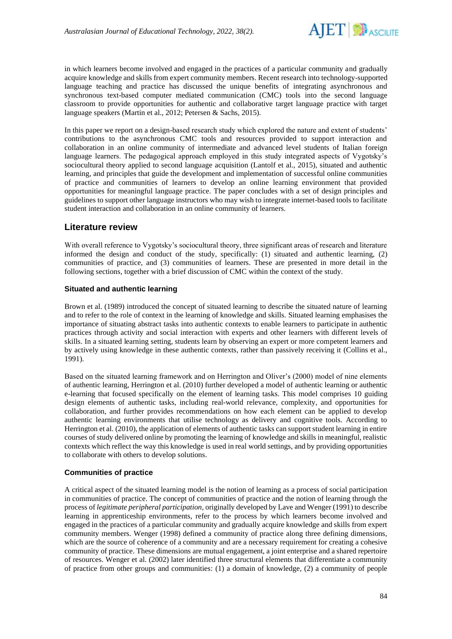

in which learners become involved and engaged in the practices of a particular community and gradually acquire knowledge and skills from expert community members. Recent research into technology-supported language teaching and practice has discussed the unique benefits of integrating asynchronous and synchronous text-based computer mediated communication (CMC) tools into the second language classroom to provide opportunities for authentic and collaborative target language practice with target language speakers (Martin et al., 2012; Petersen & Sachs, 2015).

In this paper we report on a design-based research study which explored the nature and extent of students' contributions to the asynchronous CMC tools and resources provided to support interaction and collaboration in an online community of intermediate and advanced level students of Italian foreign language learners. The pedagogical approach employed in this study integrated aspects of Vygotsky's sociocultural theory applied to second language acquisition (Lantolf et al., 2015), situated and authentic learning, and principles that guide the development and implementation of successful online communities of practice and communities of learners to develop an online learning environment that provided opportunities for meaningful language practice. The paper concludes with a set of design principles and guidelines to support other language instructors who may wish to integrate internet-based tools to facilitate student interaction and collaboration in an online community of learners.

### **Literature review**

With overall reference to Vygotsky's sociocultural theory, three significant areas of research and literature informed the design and conduct of the study, specifically: (1) situated and authentic learning, (2) communities of practice, and (3) communities of learners. These are presented in more detail in the following sections, together with a brief discussion of CMC within the context of the study.

#### **Situated and authentic learning**

Brown et al. (1989) introduced the concept of situated learning to describe the situated nature of learning and to refer to the role of context in the learning of knowledge and skills. Situated learning emphasises the importance of situating abstract tasks into authentic contexts to enable learners to participate in authentic practices through activity and social interaction with experts and other learners with different levels of skills. In a situated learning setting, students learn by observing an expert or more competent learners and by actively using knowledge in these authentic contexts, rather than passively receiving it (Collins et al., 1991).

Based on the situated learning framework and on Herrington and Oliver's (2000) model of nine elements of authentic learning, Herrington et al. (2010) further developed a model of authentic learning or authentic e-learning that focused specifically on the element of learning tasks. This model comprises 10 guiding design elements of authentic tasks, including real-world relevance, complexity, and opportunities for collaboration, and further provides recommendations on how each element can be applied to develop authentic learning environments that utilise technology as delivery and cognitive tools. According to Herrington et al. (2010), the application of elements of authentic tasks can support student learning in entire courses of study delivered online by promoting the learning of knowledge and skills in meaningful, realistic contexts which reflect the way this knowledge is used in real world settings, and by providing opportunities to collaborate with others to develop solutions.

### **Communities of practice**

A critical aspect of the situated learning model is the notion of learning as a process of social participation in communities of practice. The concept of communities of practice and the notion of learning through the process of *legitimate peripheral participation*, originally developed by Lave and Wenger (1991) to describe learning in apprenticeship environments, refer to the process by which learners become involved and engaged in the practices of a particular community and gradually acquire knowledge and skills from expert community members. Wenger (1998) defined a community of practice along three defining dimensions, which are the source of coherence of a community and are a necessary requirement for creating a cohesive community of practice. These dimensions are mutual engagement, a joint enterprise and a shared repertoire of resources. Wenger et al. (2002) later identified three structural elements that differentiate a community of practice from other groups and communities: (1) a domain of knowledge, (2) a community of people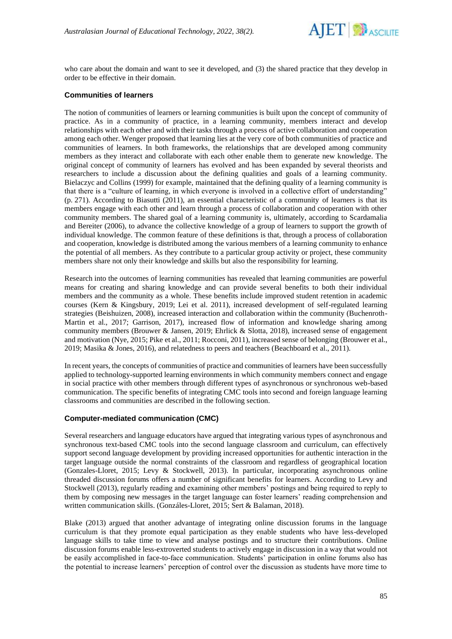

who care about the domain and want to see it developed, and (3) the shared practice that they develop in order to be effective in their domain.

#### **Communities of learners**

The notion of communities of learners or learning communities is built upon the concept of community of practice. As in a community of practice, in a learning community, members interact and develop relationships with each other and with their tasks through a process of active collaboration and cooperation among each other. Wenger proposed that learning lies at the very core of both communities of practice and communities of learners. In both frameworks, the relationships that are developed among community members as they interact and collaborate with each other enable them to generate new knowledge. The original concept of community of learners has evolved and has been expanded by several theorists and researchers to include a discussion about the defining qualities and goals of a learning community. Bielaczyc and Collins (1999) for example, maintained that the defining quality of a learning community is that there is a "culture of learning, in which everyone is involved in a collective effort of understanding" (p. 271). According to Biasutti (2011), an essential characteristic of a community of learners is that its members engage with each other and learn through a process of collaboration and cooperation with other community members. The shared goal of a learning community is, ultimately, according to Scardamalia and Bereiter (2006), to advance the collective knowledge of a group of learners to support the growth of individual knowledge. The common feature of these definitions is that, through a process of collaboration and cooperation, knowledge is distributed among the various members of a learning community to enhance the potential of all members. As they contribute to a particular group activity or project, these community members share not only their knowledge and skills but also the responsibility for learning.

Research into the outcomes of learning communities has revealed that learning communities are powerful means for creating and sharing knowledge and can provide several benefits to both their individual members and the community as a whole. These benefits include improved student retention in academic courses (Kern & Kingsbury, 2019; Lei et al. 2011), increased development of self-regulated learning strategies (Beishuizen, 2008), increased interaction and collaboration within the community (Buchenroth-Martin et al., 2017; Garrison, 2017), increased flow of information and knowledge sharing among community members (Brouwer & Jansen, 2019; Ehrlick & Slotta, 2018), increased sense of engagement and motivation (Nye, 2015; Pike et al., 2011; Rocconi, 2011), increased sense of belonging (Brouwer et al., 2019; Masika & Jones, 2016), and relatedness to peers and teachers (Beachboard et al., 2011).

In recent years, the concepts of communities of practice and communities of learners have been successfully applied to technology-supported learning environments in which community members connect and engage in social practice with other members through different types of asynchronous or synchronous web-based communication. The specific benefits of integrating CMC tools into second and foreign language learning classrooms and communities are described in the following section.

#### **Computer-mediated communication (CMC)**

Several researchers and language educators have argued that integrating various types of asynchronous and synchronous text-based CMC tools into the second language classroom and curriculum, can effectively support second language development by providing increased opportunities for authentic interaction in the target language outside the normal constraints of the classroom and regardless of geographical location (Gonzales-Lloret, 2015; Levy & Stockwell, 2013). In particular, incorporating asynchronous online threaded discussion forums offers a number of significant benefits for learners. According to Levy and Stockwell (2013), regularly reading and examining other members' postings and being required to reply to them by composing new messages in the target language can foster learners' reading comprehension and written communication skills. (Gonzáles-Lloret, 2015; Sert & Balaman, 2018).

Blake (2013) argued that another advantage of integrating online discussion forums in the language curriculum is that they promote equal participation as they enable students who have less-developed language skills to take time to view and analyse postings and to structure their contributions. Online discussion forums enable less-extroverted students to actively engage in discussion in a way that would not be easily accomplished in face-to-face communication. Students' participation in online forums also has the potential to increase learners' perception of control over the discussion as students have more time to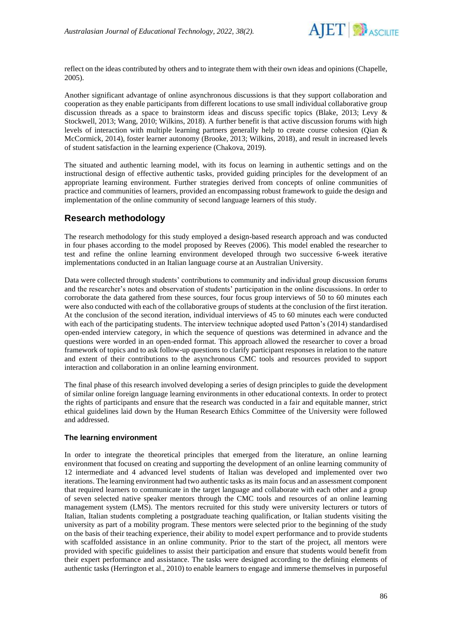

reflect on the ideas contributed by others and to integrate them with their own ideas and opinions (Chapelle, 2005).

Another significant advantage of online asynchronous discussions is that they support collaboration and cooperation as they enable participants from different locations to use small individual collaborative group discussion threads as a space to brainstorm ideas and discuss specific topics (Blake, 2013; Levy & Stockwell, 2013; Wang, 2010; Wilkins, 2018). A further benefit is that active discussion forums with high levels of interaction with multiple learning partners generally help to create course cohesion (Qian & McCormick, 2014), foster learner autonomy (Brooke, 2013; Wilkins, 2018), and result in increased levels of student satisfaction in the learning experience (Chakova, 2019).

The situated and authentic learning model, with its focus on learning in authentic settings and on the instructional design of effective authentic tasks, provided guiding principles for the development of an appropriate learning environment. Further strategies derived from concepts of online communities of practice and communities of learners, provided an encompassing robust framework to guide the design and implementation of the online community of second language learners of this study.

### **Research methodology**

The research methodology for this study employed a design-based research approach and was conducted in four phases according to the model proposed by Reeves (2006). This model enabled the researcher to test and refine the online learning environment developed through two successive 6-week iterative implementations conducted in an Italian language course at an Australian University.

Data were collected through students' contributions to community and individual group discussion forums and the researcher's notes and observation of students' participation in the online discussions. In order to corroborate the data gathered from these sources, four focus group interviews of 50 to 60 minutes each were also conducted with each of the collaborative groups of students at the conclusion of the first iteration. At the conclusion of the second iteration, individual interviews of 45 to 60 minutes each were conducted with each of the participating students. The interview technique adopted used Patton's (2014) standardised open-ended interview category, in which the sequence of questions was determined in advance and the questions were worded in an open-ended format. This approach allowed the researcher to cover a broad framework of topics and to ask follow-up questions to clarify participant responses in relation to the nature and extent of their contributions to the asynchronous CMC tools and resources provided to support interaction and collaboration in an online learning environment.

The final phase of this research involved developing a series of design principles to guide the development of similar online foreign language learning environments in other educational contexts. In order to protect the rights of participants and ensure that the research was conducted in a fair and equitable manner, strict ethical guidelines laid down by the Human Research Ethics Committee of the University were followed and addressed.

#### **The learning environment**

In order to integrate the theoretical principles that emerged from the literature, an online learning environment that focused on creating and supporting the development of an online learning community of 12 intermediate and 4 advanced level students of Italian was developed and implemented over two iterations. The learning environment had two authentic tasks as its main focus and an assessment component that required learners to communicate in the target language and collaborate with each other and a group of seven selected native speaker mentors through the CMC tools and resources of an online learning management system (LMS). The mentors recruited for this study were university lecturers or tutors of Italian, Italian students completing a postgraduate teaching qualification, or Italian students visiting the university as part of a mobility program. These mentors were selected prior to the beginning of the study on the basis of their teaching experience, their ability to model expert performance and to provide students with scaffolded assistance in an online community. Prior to the start of the project, all mentors were provided with specific guidelines to assist their participation and ensure that students would benefit from their expert performance and assistance. The tasks were designed according to the defining elements of authentic tasks (Herrington et al., 2010) to enable learners to engage and immerse themselves in purposeful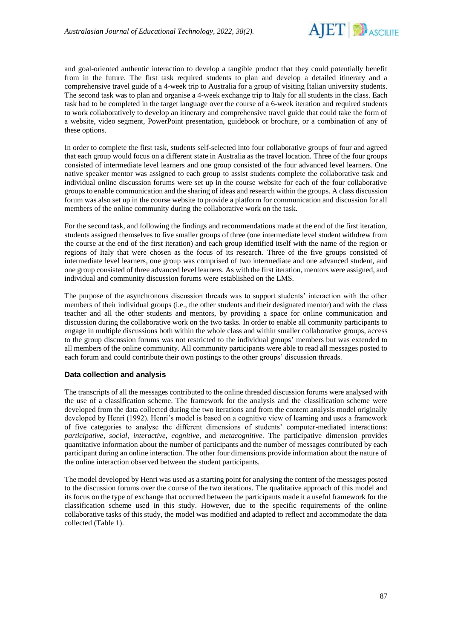

and goal-oriented authentic interaction to develop a tangible product that they could potentially benefit from in the future. The first task required students to plan and develop a detailed itinerary and a comprehensive travel guide of a 4-week trip to Australia for a group of visiting Italian university students. The second task was to plan and organise a 4-week exchange trip to Italy for all students in the class. Each task had to be completed in the target language over the course of a 6-week iteration and required students to work collaboratively to develop an itinerary and comprehensive travel guide that could take the form of a website, video segment, PowerPoint presentation, guidebook or brochure, or a combination of any of these options.

In order to complete the first task, students self-selected into four collaborative groups of four and agreed that each group would focus on a different state in Australia as the travel location. Three of the four groups consisted of intermediate level learners and one group consisted of the four advanced level learners. One native speaker mentor was assigned to each group to assist students complete the collaborative task and individual online discussion forums were set up in the course website for each of the four collaborative groups to enable communication and the sharing of ideas and research within the groups. A class discussion forum was also set up in the course website to provide a platform for communication and discussion for all members of the online community during the collaborative work on the task.

For the second task, and following the findings and recommendations made at the end of the first iteration, students assigned themselves to five smaller groups of three (one intermediate level student withdrew from the course at the end of the first iteration) and each group identified itself with the name of the region or regions of Italy that were chosen as the focus of its research. Three of the five groups consisted of intermediate level learners, one group was comprised of two intermediate and one advanced student, and one group consisted of three advanced level learners. As with the first iteration, mentors were assigned, and individual and community discussion forums were established on the LMS.

The purpose of the asynchronous discussion threads was to support students' interaction with the other members of their individual groups (i.e., the other students and their designated mentor) and with the class teacher and all the other students and mentors, by providing a space for online communication and discussion during the collaborative work on the two tasks. In order to enable all community participants to engage in multiple discussions both within the whole class and within smaller collaborative groups, access to the group discussion forums was not restricted to the individual groups' members but was extended to all members of the online community. All community participants were able to read all messages posted to each forum and could contribute their own postings to the other groups' discussion threads.

#### **Data collection and analysis**

The transcripts of all the messages contributed to the online threaded discussion forums were analysed with the use of a classification scheme. The framework for the analysis and the classification scheme were developed from the data collected during the two iterations and from the content analysis model originally developed by Henri (1992). Henri's model is based on a cognitive view of learning and uses a framework of five categories to analyse the different dimensions of students' computer-mediated interactions: *participative*, *social*, *interactive*, *cognitive*, and *metacognitive.* The participative dimension provides quantitative information about the number of participants and the number of messages contributed by each participant during an online interaction. The other four dimensions provide information about the nature of the online interaction observed between the student participants.

The model developed by Henri was used as a starting point for analysing the content of the messages posted to the discussion forums over the course of the two iterations. The qualitative approach of this model and its focus on the type of exchange that occurred between the participants made it a useful framework for the classification scheme used in this study. However, due to the specific requirements of the online collaborative tasks of this study, the model was modified and adapted to reflect and accommodate the data collected (Table 1).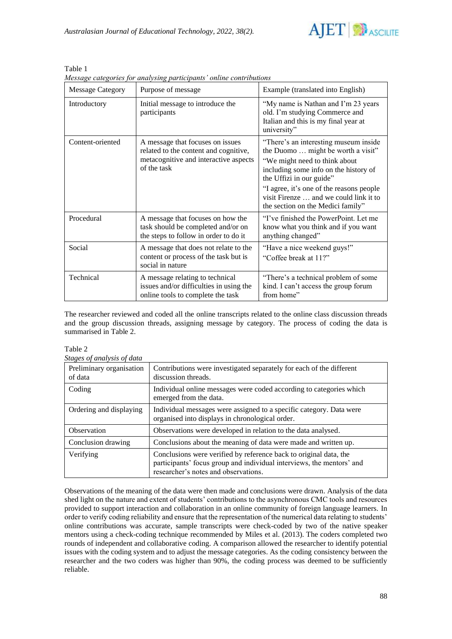

| <b>Message Category</b> | Purpose of message                                                                                                                | Example (translated into English)                                                                                                                                                                                                                                                                             |
|-------------------------|-----------------------------------------------------------------------------------------------------------------------------------|---------------------------------------------------------------------------------------------------------------------------------------------------------------------------------------------------------------------------------------------------------------------------------------------------------------|
| Introductory            | Initial message to introduce the<br>participants                                                                                  | "My name is Nathan and I'm 23 years"<br>old. I'm studying Commerce and<br>Italian and this is my final year at<br>university"                                                                                                                                                                                 |
| Content-oriented        | A message that focuses on issues<br>related to the content and cognitive,<br>metacognitive and interactive aspects<br>of the task | "There's an interesting museum inside<br>the Duomo  might be worth a visit"<br>"We might need to think about"<br>including some info on the history of<br>the Uffizi in our guide"<br>"I agree, it's one of the reasons people<br>visit Firenze  and we could link it to<br>the section on the Medici family" |
| Procedural              | A message that focuses on how the<br>task should be completed and/or on<br>the steps to follow in order to do it                  | "I've finished the PowerPoint. Let me<br>know what you think and if you want<br>anything changed"                                                                                                                                                                                                             |
| Social                  | A message that does not relate to the<br>content or process of the task but is<br>social in nature                                | "Have a nice weekend guys!"<br>"Coffee break at 11?"                                                                                                                                                                                                                                                          |
| Technical               | A message relating to technical<br>issues and/or difficulties in using the<br>online tools to complete the task                   | "There's a technical problem of some"<br>kind. I can't access the group forum<br>from home"                                                                                                                                                                                                                   |

Table 1 *Message categories for analysing participants' online contributions*

The researcher reviewed and coded all the online transcripts related to the online class discussion threads and the group discussion threads, assigning message by category. The process of coding the data is summarised in Table 2.

| r<br>ı<br>., |  |
|--------------|--|
|              |  |

*Stages of analysis of data*

|                                     | siages of analysis of autu                                                                                                                                                         |  |  |
|-------------------------------------|------------------------------------------------------------------------------------------------------------------------------------------------------------------------------------|--|--|
| Preliminary organisation<br>of data | Contributions were investigated separately for each of the different<br>discussion threads.                                                                                        |  |  |
| Coding                              | Individual online messages were coded according to categories which<br>emerged from the data.                                                                                      |  |  |
| Ordering and displaying             | Individual messages were assigned to a specific category. Data were<br>organised into displays in chronological order.                                                             |  |  |
| <b>Observation</b>                  | Observations were developed in relation to the data analysed.                                                                                                                      |  |  |
| Conclusion drawing                  | Conclusions about the meaning of data were made and written up.                                                                                                                    |  |  |
| Verifying                           | Conclusions were verified by reference back to original data, the<br>participants' focus group and individual interviews, the mentors' and<br>researcher's notes and observations. |  |  |

Observations of the meaning of the data were then made and conclusions were drawn. Analysis of the data shed light on the nature and extent of students' contributions to the asynchronous CMC tools and resources provided to support interaction and collaboration in an online community of foreign language learners. In order to verify coding reliability and ensure that the representation of the numerical data relating to students' online contributions was accurate, sample transcripts were check-coded by two of the native speaker mentors using a check-coding technique recommended by Miles et al. (2013). The coders completed two rounds of independent and collaborative coding. A comparison allowed the researcher to identify potential issues with the coding system and to adjust the message categories. As the coding consistency between the researcher and the two coders was higher than 90%, the coding process was deemed to be sufficiently reliable.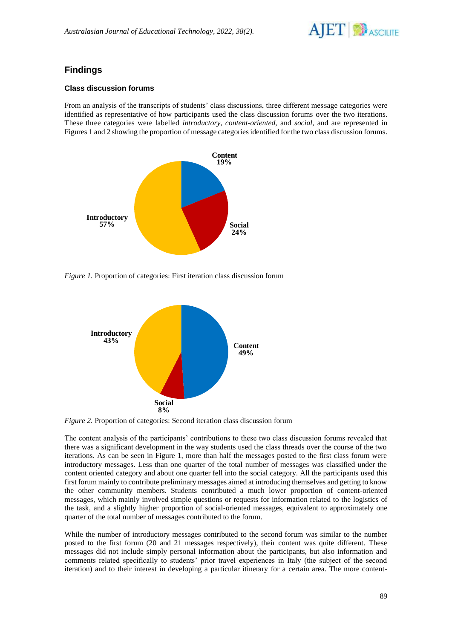

# **Findings**

#### **Class discussion forums**

From an analysis of the transcripts of students' class discussions, three different message categories were identified as representative of how participants used the class discussion forums over the two iterations. These three categories were labelled *introductory*, *content-oriented*, and *social*, and are represented in Figures 1 and 2 showing the proportion of message categories identified for the two class discussion forums*.*



*Figure 1.* Proportion of categories: First iteration class discussion forum



*Figure 2.* Proportion of categories: Second iteration class discussion forum

The content analysis of the participants' contributions to these two class discussion forums revealed that there was a significant development in the way students used the class threads over the course of the two iterations. As can be seen in Figure 1, more than half the messages posted to the first class forum were introductory messages. Less than one quarter of the total number of messages was classified under the content oriented category and about one quarter fell into the social category. All the participants used this first forum mainly to contribute preliminary messages aimed at introducing themselves and getting to know the other community members. Students contributed a much lower proportion of content-oriented messages, which mainly involved simple questions or requests for information related to the logistics of the task, and a slightly higher proportion of social-oriented messages, equivalent to approximately one quarter of the total number of messages contributed to the forum.

While the number of introductory messages contributed to the second forum was similar to the number posted to the first forum (20 and 21 messages respectively), their content was quite different. These messages did not include simply personal information about the participants, but also information and comments related specifically to students' prior travel experiences in Italy (the subject of the second iteration) and to their interest in developing a particular itinerary for a certain area. The more content-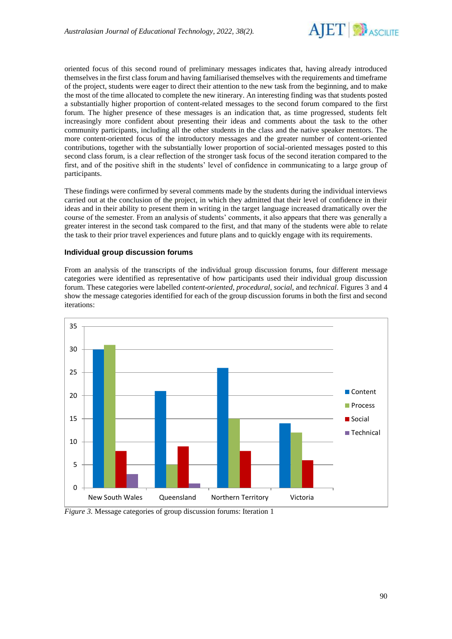

oriented focus of this second round of preliminary messages indicates that, having already introduced themselves in the first class forum and having familiarised themselves with the requirements and timeframe of the project, students were eager to direct their attention to the new task from the beginning, and to make the most of the time allocated to complete the new itinerary. An interesting finding was that students posted a substantially higher proportion of content-related messages to the second forum compared to the first forum. The higher presence of these messages is an indication that, as time progressed, students felt increasingly more confident about presenting their ideas and comments about the task to the other community participants, including all the other students in the class and the native speaker mentors. The more content-oriented focus of the introductory messages and the greater number of content-oriented contributions, together with the substantially lower proportion of social-oriented messages posted to this second class forum, is a clear reflection of the stronger task focus of the second iteration compared to the first, and of the positive shift in the students' level of confidence in communicating to a large group of participants.

These findings were confirmed by several comments made by the students during the individual interviews carried out at the conclusion of the project, in which they admitted that their level of confidence in their ideas and in their ability to present them in writing in the target language increased dramatically over the course of the semester. From an analysis of students' comments, it also appears that there was generally a greater interest in the second task compared to the first, and that many of the students were able to relate the task to their prior travel experiences and future plans and to quickly engage with its requirements.

#### **Individual group discussion forums**

From an analysis of the transcripts of the individual group discussion forums, four different message categories were identified as representative of how participants used their individual group discussion forum. These categories were labelled *content-oriented*, *procedural*, *social*, and *technical*. Figures 3 and 4 show the message categories identified for each of the group discussion forums in both the first and second iterations:



*Figure 3.* Message categories of group discussion forums: Iteration 1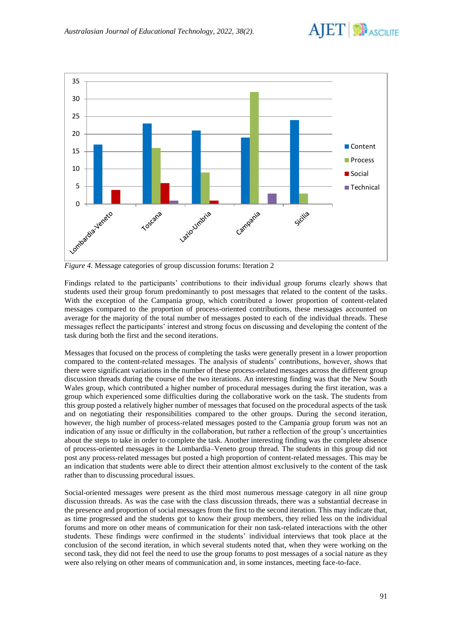



*Figure 4.* Message categories of group discussion forums: Iteration 2

Findings related to the participants' contributions to their individual group forums clearly shows that students used their group forum predominantly to post messages that related to the content of the tasks. With the exception of the Campania group, which contributed a lower proportion of content-related messages compared to the proportion of process-oriented contributions, these messages accounted on average for the majority of the total number of messages posted to each of the individual threads. These messages reflect the participants' interest and strong focus on discussing and developing the content of the task during both the first and the second iterations.

Messages that focused on the process of completing the tasks were generally present in a lower proportion compared to the content-related messages. The analysis of students' contributions, however, shows that there were significant variations in the number of these process-related messages across the different group discussion threads during the course of the two iterations. An interesting finding was that the New South Wales group, which contributed a higher number of procedural messages during the first iteration, was a group which experienced some difficulties during the collaborative work on the task. The students from this group posted a relatively higher number of messages that focused on the procedural aspects of the task and on negotiating their responsibilities compared to the other groups. During the second iteration, however, the high number of process-related messages posted to the Campania group forum was not an indication of any issue or difficulty in the collaboration, but rather a reflection of the group's uncertainties about the steps to take in order to complete the task. Another interesting finding was the complete absence of process-oriented messages in the Lombardia–Veneto group thread. The students in this group did not post any process-related messages but posted a high proportion of content-related messages. This may be an indication that students were able to direct their attention almost exclusively to the content of the task rather than to discussing procedural issues.

Social-oriented messages were present as the third most numerous message category in all nine group discussion threads. As was the case with the class discussion threads, there was a substantial decrease in the presence and proportion of social messages from the first to the second iteration. This may indicate that, as time progressed and the students got to know their group members, they relied less on the individual forums and more on other means of communication for their non task-related interactions with the other students. These findings were confirmed in the students' individual interviews that took place at the conclusion of the second iteration, in which several students noted that, when they were working on the second task, they did not feel the need to use the group forums to post messages of a social nature as they were also relying on other means of communication and, in some instances, meeting face-to-face.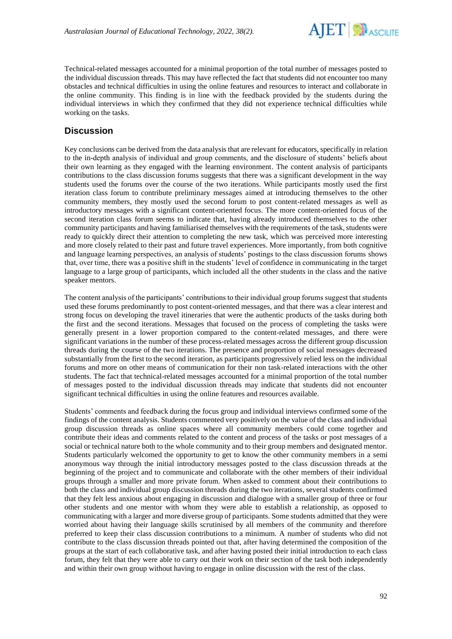

Technical-related messages accounted for a minimal proportion of the total number of messages posted to the individual discussion threads. This may have reflected the fact that students did not encounter too many obstacles and technical difficulties in using the online features and resources to interact and collaborate in the online community. This finding is in line with the feedback provided by the students during the individual interviews in which they confirmed that they did not experience technical difficulties while working on the tasks.

### **Discussion**

Key conclusions can be derived from the data analysis that are relevant for educators, specifically in relation to the in-depth analysis of individual and group comments, and the disclosure of students' beliefs about their own learning as they engaged with the learning environment. The content analysis of participants contributions to the class discussion forums suggests that there was a significant development in the way students used the forums over the course of the two iterations. While participants mostly used the first iteration class forum to contribute preliminary messages aimed at introducing themselves to the other community members, they mostly used the second forum to post content-related messages as well as introductory messages with a significant content-oriented focus. The more content-oriented focus of the second iteration class forum seems to indicate that, having already introduced themselves to the other community participants and having familiarised themselves with the requirements of the task, students were ready to quickly direct their attention to completing the new task, which was perceived more interesting and more closely related to their past and future travel experiences. More importantly, from both cognitive and language learning perspectives, an analysis of students' postings to the class discussion forums shows that, over time, there was a positive shift in the students' level of confidence in communicating in the target language to a large group of participants, which included all the other students in the class and the native speaker mentors.

The content analysis of the participants' contributions to their individual group forums suggest that students used these forums predominantly to post content-oriented messages, and that there was a clear interest and strong focus on developing the travel itineraries that were the authentic products of the tasks during both the first and the second iterations. Messages that focused on the process of completing the tasks were generally present in a lower proportion compared to the content-related messages, and there were significant variations in the number of these process-related messages across the different group discussion threads during the course of the two iterations. The presence and proportion of social messages decreased substantially from the first to the second iteration, as participants progressively relied less on the individual forums and more on other means of communication for their non task-related interactions with the other students. The fact that technical-related messages accounted for a minimal proportion of the total number of messages posted to the individual discussion threads may indicate that students did not encounter significant technical difficulties in using the online features and resources available.

Students' comments and feedback during the focus group and individual interviews confirmed some of the findings of the content analysis. Students commented very positively on the value of the class and individual group discussion threads as online spaces where all community members could come together and contribute their ideas and comments related to the content and process of the tasks or post messages of a social or technical nature both to the whole community and to their group members and designated mentor. Students particularly welcomed the opportunity to get to know the other community members in a semi anonymous way through the initial introductory messages posted to the class discussion threads at the beginning of the project and to communicate and collaborate with the other members of their individual groups through a smaller and more private forum. When asked to comment about their contributions to both the class and individual group discussion threads during the two iterations, several students confirmed that they felt less anxious about engaging in discussion and dialogue with a smaller group of three or four other students and one mentor with whom they were able to establish a relationship, as opposed to communicating with a larger and more diverse group of participants. Some students admitted that they were worried about having their language skills scrutinised by all members of the community and therefore preferred to keep their class discussion contributions to a minimum. A number of students who did not contribute to the class discussion threads pointed out that, after having determined the composition of the groups at the start of each collaborative task, and after having posted their initial introduction to each class forum, they felt that they were able to carry out their work on their section of the task both independently and within their own group without having to engage in online discussion with the rest of the class.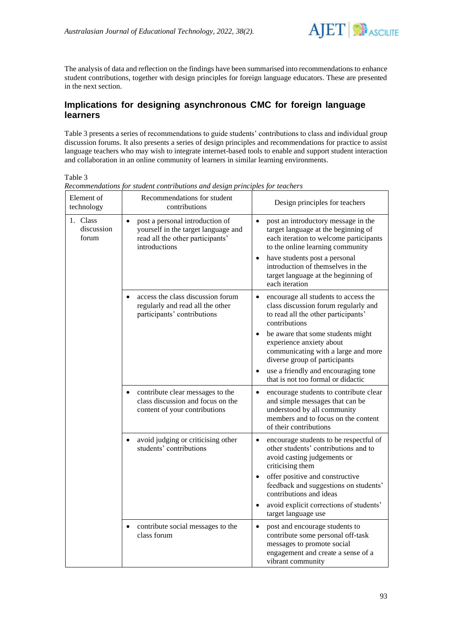

The analysis of data and reflection on the findings have been summarised into recommendations to enhance student contributions, together with design principles for foreign language educators. These are presented in the next section.

### **Implications for designing asynchronous CMC for foreign language learners**

Table 3 presents a series of recommendations to guide students' contributions to class and individual group discussion forums. It also presents a series of design principles and recommendations for practice to assist language teachers who may wish to integrate internet-based tools to enable and support student interaction and collaboration in an online community of learners in similar learning environments.

Table 3

| Element of<br>technology        | Recommendations for student<br>contributions                                                                                             | Design principles for teachers                                                                                                                                                                                                                                                                                    |
|---------------------------------|------------------------------------------------------------------------------------------------------------------------------------------|-------------------------------------------------------------------------------------------------------------------------------------------------------------------------------------------------------------------------------------------------------------------------------------------------------------------|
| 1. Class<br>discussion<br>forum | post a personal introduction of<br>$\bullet$<br>yourself in the target language and<br>read all the other participants'<br>introductions | post an introductory message in the<br>$\bullet$<br>target language at the beginning of<br>each iteration to welcome participants<br>to the online learning community<br>have students post a personal<br>$\bullet$<br>introduction of themselves in the<br>target language at the beginning of<br>each iteration |
|                                 | access the class discussion forum<br>$\bullet$<br>regularly and read all the other<br>participants' contributions                        | encourage all students to access the<br>$\bullet$<br>class discussion forum regularly and<br>to read all the other participants'<br>contributions                                                                                                                                                                 |
|                                 |                                                                                                                                          | be aware that some students might<br>$\bullet$<br>experience anxiety about<br>communicating with a large and more<br>diverse group of participants                                                                                                                                                                |
|                                 |                                                                                                                                          | use a friendly and encouraging tone<br>$\bullet$<br>that is not too formal or didactic                                                                                                                                                                                                                            |
|                                 | contribute clear messages to the<br>class discussion and focus on the<br>content of your contributions                                   | encourage students to contribute clear<br>$\bullet$<br>and simple messages that can be<br>understood by all community<br>members and to focus on the content<br>of their contributions                                                                                                                            |
|                                 | avoid judging or criticising other<br>$\bullet$<br>students' contributions                                                               | encourage students to be respectful of<br>$\bullet$<br>other students' contributions and to<br>avoid casting judgements or<br>criticising them                                                                                                                                                                    |
|                                 |                                                                                                                                          | offer positive and constructive<br>feedback and suggestions on students'<br>contributions and ideas                                                                                                                                                                                                               |
|                                 |                                                                                                                                          | avoid explicit corrections of students'<br>$\bullet$<br>target language use                                                                                                                                                                                                                                       |
|                                 | contribute social messages to the<br>$\bullet$<br>class forum                                                                            | post and encourage students to<br>$\bullet$<br>contribute some personal off-task<br>messages to promote social<br>engagement and create a sense of a<br>vibrant community                                                                                                                                         |

*Recommendations for student contributions and design principles for teachers*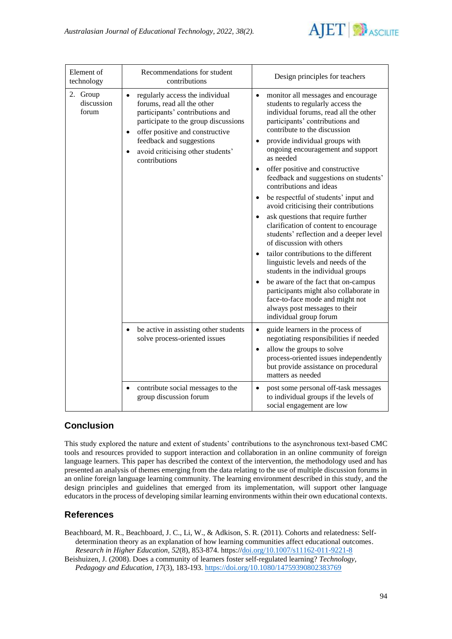

| Element of<br>technology        | Recommendations for student<br>contributions                                                                                                                                                                                                                               | Design principles for teachers                                                                                                                                                                                                                                                                                                                                                                                                                                                                                                                                                                                                                                                                                                                                                                                                                                                                                                                                                            |
|---------------------------------|----------------------------------------------------------------------------------------------------------------------------------------------------------------------------------------------------------------------------------------------------------------------------|-------------------------------------------------------------------------------------------------------------------------------------------------------------------------------------------------------------------------------------------------------------------------------------------------------------------------------------------------------------------------------------------------------------------------------------------------------------------------------------------------------------------------------------------------------------------------------------------------------------------------------------------------------------------------------------------------------------------------------------------------------------------------------------------------------------------------------------------------------------------------------------------------------------------------------------------------------------------------------------------|
| 2. Group<br>discussion<br>forum | regularly access the individual<br>forums, read all the other<br>participants' contributions and<br>participate to the group discussions<br>offer positive and constructive<br>$\bullet$<br>feedback and suggestions<br>avoid criticising other students'<br>contributions | monitor all messages and encourage<br>$\bullet$<br>students to regularly access the<br>individual forums, read all the other<br>participants' contributions and<br>contribute to the discussion<br>provide individual groups with<br>$\bullet$<br>ongoing encouragement and support<br>as needed<br>offer positive and constructive<br>$\bullet$<br>feedback and suggestions on students'<br>contributions and ideas<br>be respectful of students' input and<br>avoid criticising their contributions<br>ask questions that require further<br>$\bullet$<br>clarification of content to encourage<br>students' reflection and a deeper level<br>of discussion with others<br>tailor contributions to the different<br>$\bullet$<br>linguistic levels and needs of the<br>students in the individual groups<br>be aware of the fact that on-campus<br>participants might also collaborate in<br>face-to-face mode and might not<br>always post messages to their<br>individual group forum |
|                                 | be active in assisting other students<br>solve process-oriented issues                                                                                                                                                                                                     | guide learners in the process of<br>$\bullet$<br>negotiating responsibilities if needed<br>allow the groups to solve<br>$\bullet$<br>process-oriented issues independently<br>but provide assistance on procedural<br>matters as needed                                                                                                                                                                                                                                                                                                                                                                                                                                                                                                                                                                                                                                                                                                                                                   |
|                                 | contribute social messages to the<br>$\bullet$<br>group discussion forum                                                                                                                                                                                                   | post some personal off-task messages<br>٠<br>to individual groups if the levels of<br>social engagement are low                                                                                                                                                                                                                                                                                                                                                                                                                                                                                                                                                                                                                                                                                                                                                                                                                                                                           |

# **Conclusion**

This study explored the nature and extent of students' contributions to the asynchronous text-based CMC tools and resources provided to support interaction and collaboration in an online community of foreign language learners. This paper has described the context of the intervention, the methodology used and has presented an analysis of themes emerging from the data relating to the use of multiple discussion forums in an online foreign language learning community. The learning environment described in this study, and the design principles and guidelines that emerged from its implementation, will support other language educators in the process of developing similar learning environments within their own educational contexts.

# **References**

Beachboard, M. R., Beachboard, J. C., Li, W., & Adkison, S. R. (2011). Cohorts and relatedness: Selfdetermination theory as an explanation of how learning communities affect educational outcomes. *Research in Higher Education, 52*(8), 853-874. [https://doi.org/10.1007/s11162-011-9221-8](https://dx.doi.org/10.1007/s11162-011-9221-8)

Beishuizen, J. (2008). Does a community of learners foster self-regulated learning? *Technology, Pedagogy and Education, 17*(3), 183-193. <https://doi.org/10.1080/14759390802383769>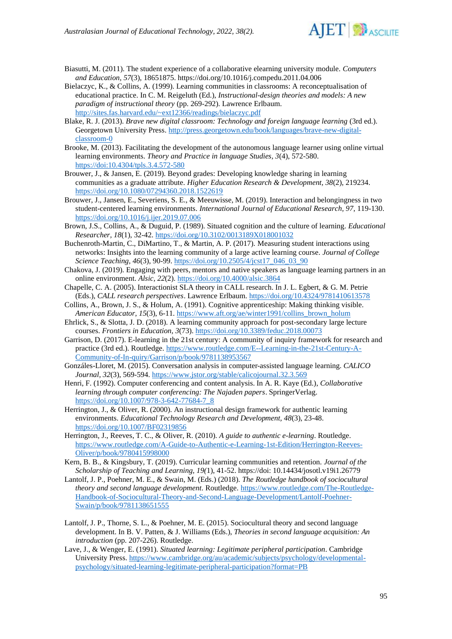

- Biasutti, M. (2011). The student experience of a collaborative elearning university module. *Computers and Education, 57*(3), 18651875.<https://doi.org/10.1016/j.compedu.2011.04.006>
- Bielaczyc, K., & Collins, A. (1999). Learning communities in classrooms: A reconceptualisation of educational practice. In C. M. Reigeluth (Ed.), *Instructional-design theories and models: A new paradigm of instructional theory* (pp. 269-292). Lawrence Erlbaum. <http://sites.fas.harvard.edu/~ext12366/readings/bielaczyc.pdf>
- Blake, R. J. (2013). *Brave new digital classroom: Technology and foreign language learning* (3rd ed.). Georgetown University Press. [http://press.georgetown.edu/book/languages/brave-new-digital](http://press.georgetown.edu/book/languages/brave-new-digital-classroom-0)[classroom-0](http://press.georgetown.edu/book/languages/brave-new-digital-classroom-0)
- Brooke, M. (2013). Facilitating the development of the autonomous language learner using online virtual learning environments. *Theory and Practice in language Studies, 3*(4), 572-580. <https://doi:10.4304/tpls.3.4.572-580>
- Brouwer, J., & Jansen, E. (2019). Beyond grades: Developing knowledge sharing in learning communities as a graduate attribute. *Higher Education Research & Development, 38*(2), 219234. <https://doi.org/10.1080/07294360.2018.1522619>
- Brouwer, J., Jansen, E., Severiens, S. E., & Meeuwisse, M. (2019). Interaction and belongingness in two student-centered learning environments. *International Journal of Educational Research, 97*, 119-130. <https://doi.org/10.1016/j.ijer.2019.07.006>
- Brown, J.S., Collins, A., & Duguid, P. (1989). Situated cognition and the culture of learning. *Educational Researcher, 18*(1), 32-42.<https://doi.org/10.3102/0013189X018001032>
- Buchenroth-Martin, C., DiMartino, T., & Martin, A. P. (2017). Measuring student interactions using networks: Insights into the learning community of a large active learning course. *Journal of College Science Teaching, 46*(3), 90-99. [https://doi.org/10.2505/4/jcst17\\_046\\_03\\_90](https://doi.org/10.2505/4/jcst17_046_03_90)
- Chakova, J. (2019). Engaging with peers, mentors and native speakers as language learning partners in an online environment. *Alsic, 22*(2). <https://doi.org/10.4000/alsic.3864>
- Chapelle, C. A. (2005). Interactionist SLA theory in CALL research. In J. L. Egbert, & G. M. Petrie (Eds.), *CALL research perspectives*. Lawrence Erlbaum.<https://doi.org/10.4324/9781410613578>
- Collins, A., Brown, J. S., & Holum, A. (1991). Cognitive apprenticeship: Making thinking visible. *American Educator, 15*(3), 6-11. [https://www.aft.org/ae/winter1991/collins\\_brown\\_holum](https://www.aft.org/ae/winter1991/collins_brown_holum)
- Ehrlick, S., & Slotta, J. D. (2018). A learning community approach for post-secondary large lecture courses. *Frontiers in Education, 3*(73). <https://doi.org/10.3389/feduc.2018.00073>
- Garrison, D. (2017). E-learning in the 21st century: A community of inquiry framework for research and practice (3rd ed.). Routledge. [https://www.routledge.com/E--Learning-in-the-21st-Century-A-](https://www.routledge.com/E--Learning-in-the-21st-Century-A-Community-of-In-quiry/Garrison/p/book/9781138953567)[Community-of-In-quiry/Garrison/p/book/9781138953567](https://www.routledge.com/E--Learning-in-the-21st-Century-A-Community-of-In-quiry/Garrison/p/book/9781138953567)
- Gonzáles-Lloret, M. (2015). Conversation analysis in computer-assisted language learning. *CALICO Journal, 32*(3), 569-594. <https://www.jstor.org/stable/calicojournal.32.3.569>
- Henri, F. (1992). Computer conferencing and content analysis. In A. R. Kaye (Ed.), *Collaborative learning through computer conferencing: The Najaden papers*. SpringerVerlag. [https://doi.org/10.1007/978-3-642-77684-7\\_8](https://doi.org/10.1007/978-3-642-77684-7_8)
- Herrington, J., & Oliver, R. (2000). An instructional design framework for authentic learning environments. *Educational Technology Research and Development, 48*(3), 23-48. <https://doi.org/10.1007/BF02319856>
- Herrington, J., Reeves, T. C., & Oliver, R. (2010). *A guide to authentic e-learning*. Routledge. [https://www.routledge.com/A-Guide-to-Authentic-e-Learning-1st-Edition/Herrington-Reeves-](https://www.routledge.com/A-Guide-to-Authentic-e-Learning-1st-Edition/Herrington-Reeves-Oliver/p/book/9780415998000)[Oliver/p/book/9780415998000](https://www.routledge.com/A-Guide-to-Authentic-e-Learning-1st-Edition/Herrington-Reeves-Oliver/p/book/9780415998000)
- Kern, B. B., & Kingsbury, T. (2019). Curricular learning communities and retention. *Journal of the Scholarship of Teaching and Learning, 19(*1), 41-52. https://doi: 10.14434/josotl.v19i1.26779
- Lantolf, J. P., Poehner, M. E., & Swain, M. (Eds.) (2018). *The Routledge handbook of sociocultural theory and second language development*. Routledge. [https://www.routledge.com/The-Routledge-](https://www.routledge.com/The-Routledge-Handbook-of-Sociocultural-Theory-and-Second-Language-Development/Lantolf-Poehner-Swain/p/book/9781138651555)[Handbook-of-Sociocultural-Theory-and-Second-Language-Development/Lantolf-Poehner-](https://www.routledge.com/The-Routledge-Handbook-of-Sociocultural-Theory-and-Second-Language-Development/Lantolf-Poehner-Swain/p/book/9781138651555)[Swain/p/book/9781138651555](https://www.routledge.com/The-Routledge-Handbook-of-Sociocultural-Theory-and-Second-Language-Development/Lantolf-Poehner-Swain/p/book/9781138651555)
- Lantolf, J. P., Thorne, S. L., & Poehner, M. E. (2015). Sociocultural theory and second language development. In B. V. Patten, & J. Williams (Eds.), *Theories in second language acquisition: An introduction* (pp. 207-226). Routledge.
- Lave, J., & Wenger, E. (1991). *Situated learning: Legitimate peripheral participation*. Cambridge University Press. [https://www.cambridge.org/au/academic/subjects/psychology/developmental](https://www.cambridge.org/au/academic/subjects/psychology/developmental-psychology/situated-learning-legitimate-peripheral-participation?format=PB)[psychology/situated-learning-legitimate-peripheral-participation?format=PB](https://www.cambridge.org/au/academic/subjects/psychology/developmental-psychology/situated-learning-legitimate-peripheral-participation?format=PB)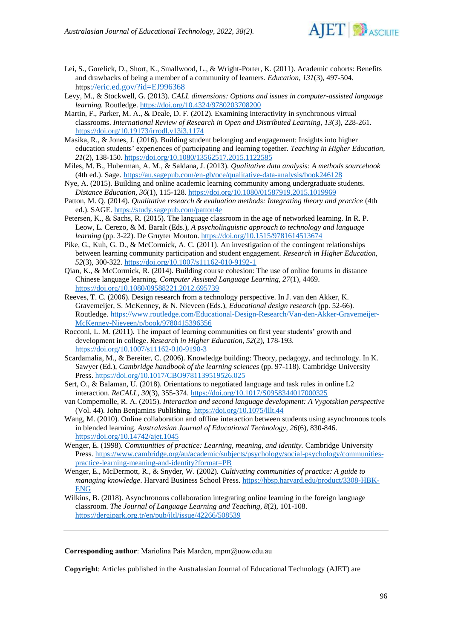

- Lei, S., Gorelick, D., Short, K., Smallwood, L., & Wright-Porter, K. (2011). Academic cohorts: Benefits and drawbacks of being a member of a community of learners. *Education, 131*(3), 497-504. https[://eric.ed.gov/?id=EJ996368](https://eric.ed.gov/?id=EJ996368)
- Levy, M., & Stockwell, G. (2013). *CALL dimensions: Options and issues in computer-assisted language learning.* Routledge. <https://doi.org/10.4324/9780203708200>
- Martin, F., Parker, M. A., & Deale, D. F. (2012). Examining interactivity in synchronous virtual classrooms. *International Review of Research in Open and Distributed Learning, 13*(3), 228-261. <https://doi.org/10.19173/irrodl.v13i3.1174>
- Masika, R., & Jones, J. (2016). Building student belonging and engagement: Insights into higher education students' experiences of participating and learning together. *Teaching in Higher Education, 21*(2), 138-150.<https://doi.org/10.1080/13562517.2015.1122585>
- Miles, M. B., Huberman, A. M., & Saldana, J. (2013). *Qualitative data analysis: A methods sourcebook* (4th ed.). Sage. <https://au.sagepub.com/en-gb/oce/qualitative-data-analysis/book246128>
- Nye, A. (2015). Building and online academic learning community among undergraduate students. *Distance Education, 36*(1), 115-128. <https://doi.org/10.1080/01587919.2015.1019969>
- Patton, M. Q. (2014). *Qualitative research & evaluation methods: Integrating theory and practice* (4th ed.). SAGE[. https://study.sagepub.com/patton4e](https://study.sagepub.com/patton4e)
- Petersen, K., & Sachs, R. (2015). The language classroom in the age of networked learning. In R. P. Leow, L. Cerezo, & M. Baralt (Eds.), *A psycholinguistic approach to technology and language learning* (pp. 3-22). De Gruyter Mouton.<https://doi.org/10.1515/9781614513674>
- Pike, G., Kuh, G. D., & McCormick, A. C. (2011). An investigation of the contingent relationships between learning community participation and student engagement. *Research in Higher Education, 52*(3), 300-322.<https://doi.org/10.1007/s11162-010-9192-1>
- Qian, K., & McCormick, R. (2014). Building course cohesion: The use of online forums in distance Chinese language learning. *Computer Assisted Language Learning, 27*(1), 4469. <https://doi.org/10.1080/09588221.2012.695739>
- Reeves, T. C. (2006). Design research from a technology perspective. In J. van den Akker, K. Gravemeijer, S. McKenney, & N. Nieveen (Eds.), *Educational design research* (pp. 52-66). Routledge. [https://www.routledge.com/Educational-Design-Research/Van-den-Akker-Gravemeijer-](https://www.routledge.com/Educational-Design-Research/Van-den-Akker-Gravemeijer-McKenney-Nieveen/p/book/9780415396356)[McKenney-Nieveen/p/book/9780415396356](https://www.routledge.com/Educational-Design-Research/Van-den-Akker-Gravemeijer-McKenney-Nieveen/p/book/9780415396356)
- Rocconi, L. M. (2011). The impact of learning communities on first year students' growth and development in college. *Research in Higher Education, 52*(2), 178-193. <https://doi.org/10.1007/s11162-010-9190-3>
- Scardamalia, M., & Bereiter, C. (2006). Knowledge building: Theory, pedagogy, and technology. In K. Sawyer (Ed.), *Cambridge handbook of the learning sciences* (pp. 97-118). Cambridge University Press. <https://doi.org/10.1017/CBO9781139519526.025>
- Sert, O., & Balaman, U. (2018). Orientations to negotiated language and task rules in online L2 interaction. *ReCALL, 30*(3), 355-374.<https://doi.org/10.1017/S0958344017000325>
- van Compernolle, R. A. (2015). *Interaction and second language development: A Vygotskian perspective* (Vol. 44). John Benjamins Publishing. <https://doi.org/10.1075/lllt.44>
- Wang, M. (2010). Online collaboration and offline interaction between students using asynchronous tools in blended learning. *Australasian Journal of Educational Technology, 26*(6), 830-846. <https://doi.org/10.14742/ajet.1045>
- Wenger, E. (1998). *Communities of practice: Learning, meaning, and identity.* Cambridge University Press. [https://www.cambridge.org/au/academic/subjects/psychology/social-psychology/communities](https://www.cambridge.org/au/academic/subjects/psychology/social-psychology/communities-practice-learning-meaning-and-identity?format=PB)[practice-learning-meaning-and-identity?format=PB](https://www.cambridge.org/au/academic/subjects/psychology/social-psychology/communities-practice-learning-meaning-and-identity?format=PB)
- Wenger, E., McDermott, R., & Snyder, W. (2002). *Cultivating communities of practice: A guide to managing knowledge*. Harvard Business School Press. [https://hbsp.harvard.edu/product/3308-HBK-](https://hbsp.harvard.edu/product/3308-HBK-ENG)[ENG](https://hbsp.harvard.edu/product/3308-HBK-ENG)
- Wilkins, B. (2018). Asynchronous collaboration integrating online learning in the foreign language classroom. *The Journal of Language Learning and Teaching, 8*(2), 101-108. <https://dergipark.org.tr/en/pub/jltl/issue/42266/508539>

**Corresponding author**: Mariolina Pais Marden, mpm@uow.edu.au

**Copyright**: Articles published in the Australasian Journal of Educational Technology (AJET) are